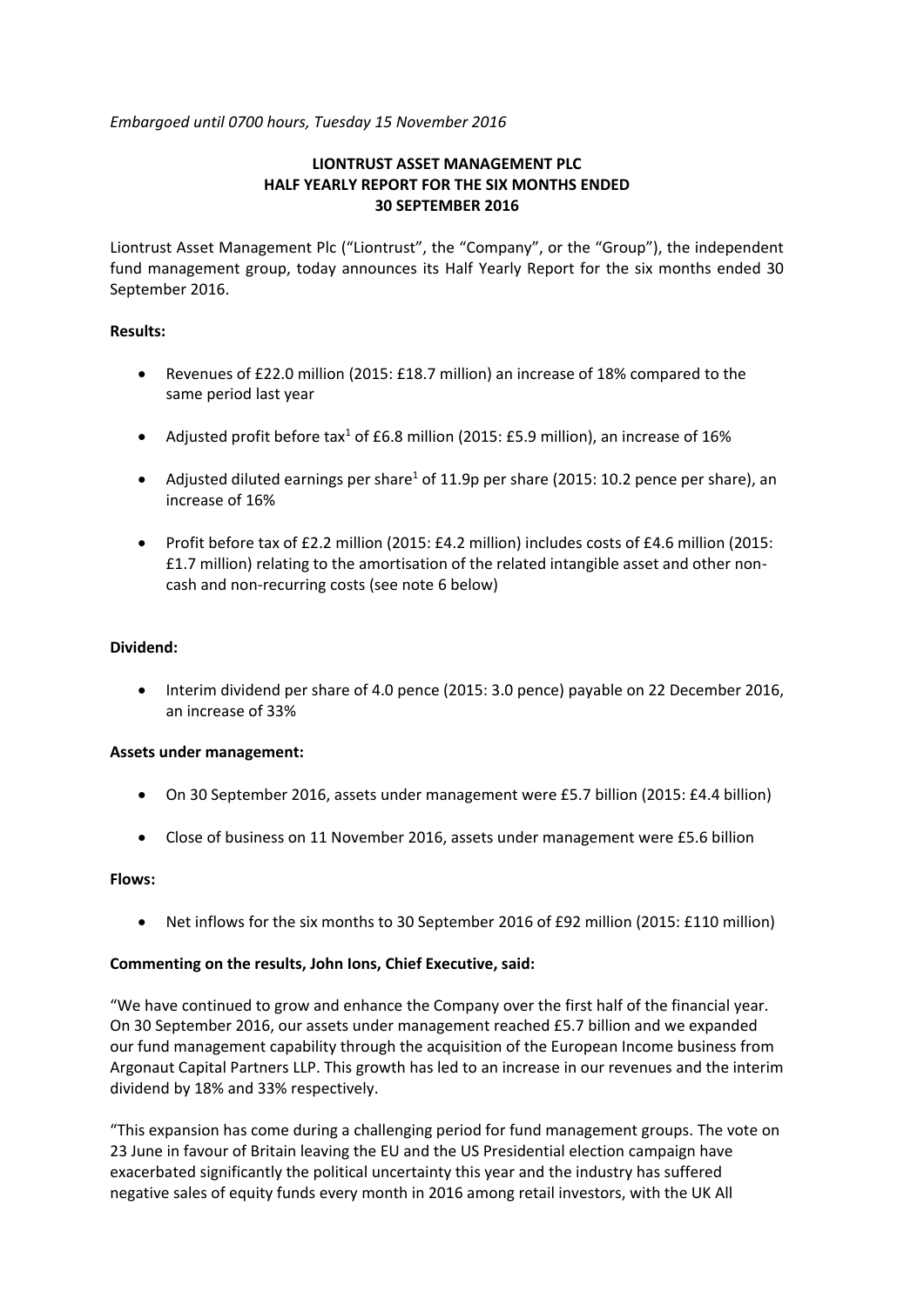*Embargoed until 0700 hours, Tuesday 15 November 2016*

# **LIONTRUST ASSET MANAGEMENT PLC HALF YEARLY REPORT FOR THE SIX MONTHS ENDED 30 SEPTEMBER 2016**

Liontrust Asset Management Plc ("Liontrust", the "Company", or the "Group"), the independent fund management group, today announces its Half Yearly Report for the six months ended 30 September 2016.

# **Results:**

- Revenues of £22.0 million (2015: £18.7 million) an increase of 18% compared to the same period last year
- Adjusted profit before tax<sup>1</sup> of £6.8 million (2015: £5.9 million), an increase of 16%
- Adjusted diluted earnings per share<sup>1</sup> of 11.9p per share (2015: 10.2 pence per share), an increase of 16%
- Profit before tax of £2.2 million (2015: £4.2 million) includes costs of £4.6 million (2015: £1.7 million) relating to the amortisation of the related intangible asset and other noncash and non-recurring costs (see note 6 below)

# **Dividend:**

 Interim dividend per share of 4.0 pence (2015: 3.0 pence) payable on 22 December 2016, an increase of 33%

## **Assets under management:**

- On 30 September 2016, assets under management were £5.7 billion (2015: £4.4 billion)
- Close of business on 11 November 2016, assets under management were £5.6 billion

## **Flows:**

Net inflows for the six months to 30 September 2016 of £92 million (2015: £110 million)

## **Commenting on the results, John Ions, Chief Executive, said:**

"We have continued to grow and enhance the Company over the first half of the financial year. On 30 September 2016, our assets under management reached £5.7 billion and we expanded our fund management capability through the acquisition of the European Income business from Argonaut Capital Partners LLP. This growth has led to an increase in our revenues and the interim dividend by 18% and 33% respectively.

"This expansion has come during a challenging period for fund management groups. The vote on 23 June in favour of Britain leaving the EU and the US Presidential election campaign have exacerbated significantly the political uncertainty this year and the industry has suffered negative sales of equity funds every month in 2016 among retail investors, with the UK All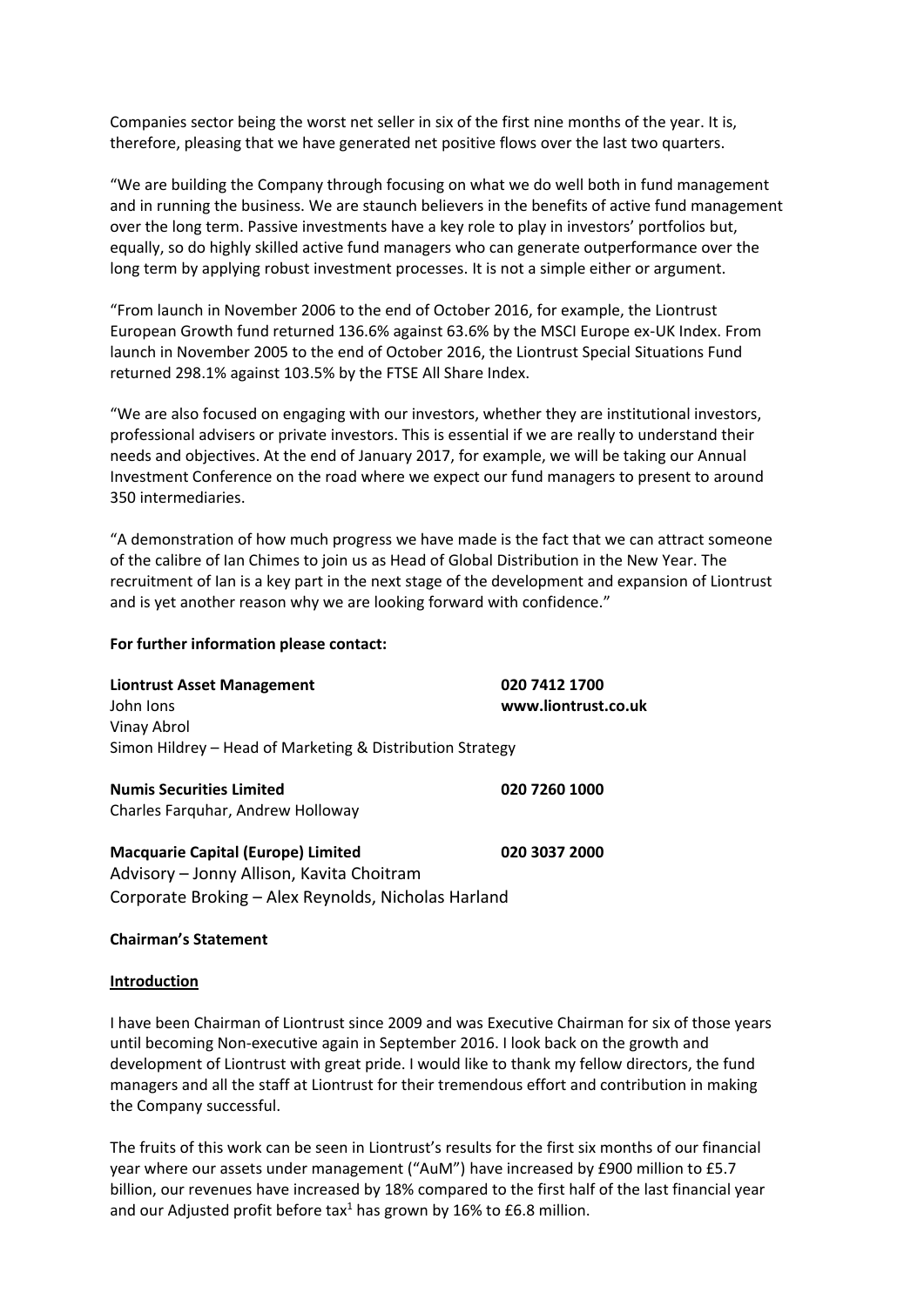Companies sector being the worst net seller in six of the first nine months of the year. It is, therefore, pleasing that we have generated net positive flows over the last two quarters.

"We are building the Company through focusing on what we do well both in fund management and in running the business. We are staunch believers in the benefits of active fund management over the long term. Passive investments have a key role to play in investors' portfolios but, equally, so do highly skilled active fund managers who can generate outperformance over the long term by applying robust investment processes. It is not a simple either or argument.

"From launch in November 2006 to the end of October 2016, for example, the Liontrust European Growth fund returned 136.6% against 63.6% by the MSCI Europe ex-UK Index. From launch in November 2005 to the end of October 2016, the Liontrust Special Situations Fund returned 298.1% against 103.5% by the FTSE All Share Index.

"We are also focused on engaging with our investors, whether they are institutional investors, professional advisers or private investors. This is essential if we are really to understand their needs and objectives. At the end of January 2017, for example, we will be taking our Annual Investment Conference on the road where we expect our fund managers to present to around 350 intermediaries.

"A demonstration of how much progress we have made is the fact that we can attract someone of the calibre of Ian Chimes to join us as Head of Global Distribution in the New Year. The recruitment of Ian is a key part in the next stage of the development and expansion of Liontrust and is yet another reason why we are looking forward with confidence."

### **For further information please contact:**

| <b>Liontrust Asset Management</b><br>John Ions            | 020 7412 1700<br>www.liontrust.co.uk |
|-----------------------------------------------------------|--------------------------------------|
| Vinay Abrol                                               |                                      |
| Simon Hildrey - Head of Marketing & Distribution Strategy |                                      |
| <b>Numis Securities Limited</b>                           | 020 7260 1000                        |
| Charles Farguhar, Andrew Holloway                         |                                      |
| <b>Macquarie Capital (Europe) Limited</b>                 | 020 3037 2000                        |
| Advisory - Jonny Allison, Kavita Choitram                 |                                      |
| Corporate Broking - Alex Reynolds, Nicholas Harland       |                                      |

### **Chairman's Statement**

#### **Introduction**

I have been Chairman of Liontrust since 2009 and was Executive Chairman for six of those years until becoming Non-executive again in September 2016. I look back on the growth and development of Liontrust with great pride. I would like to thank my fellow directors, the fund managers and all the staff at Liontrust for their tremendous effort and contribution in making the Company successful.

The fruits of this work can be seen in Liontrust's results for the first six months of our financial year where our assets under management ("AuM") have increased by £900 million to £5.7 billion, our revenues have increased by 18% compared to the first half of the last financial year and our Adjusted profit before tax<sup>1</sup> has grown by 16% to £6.8 million.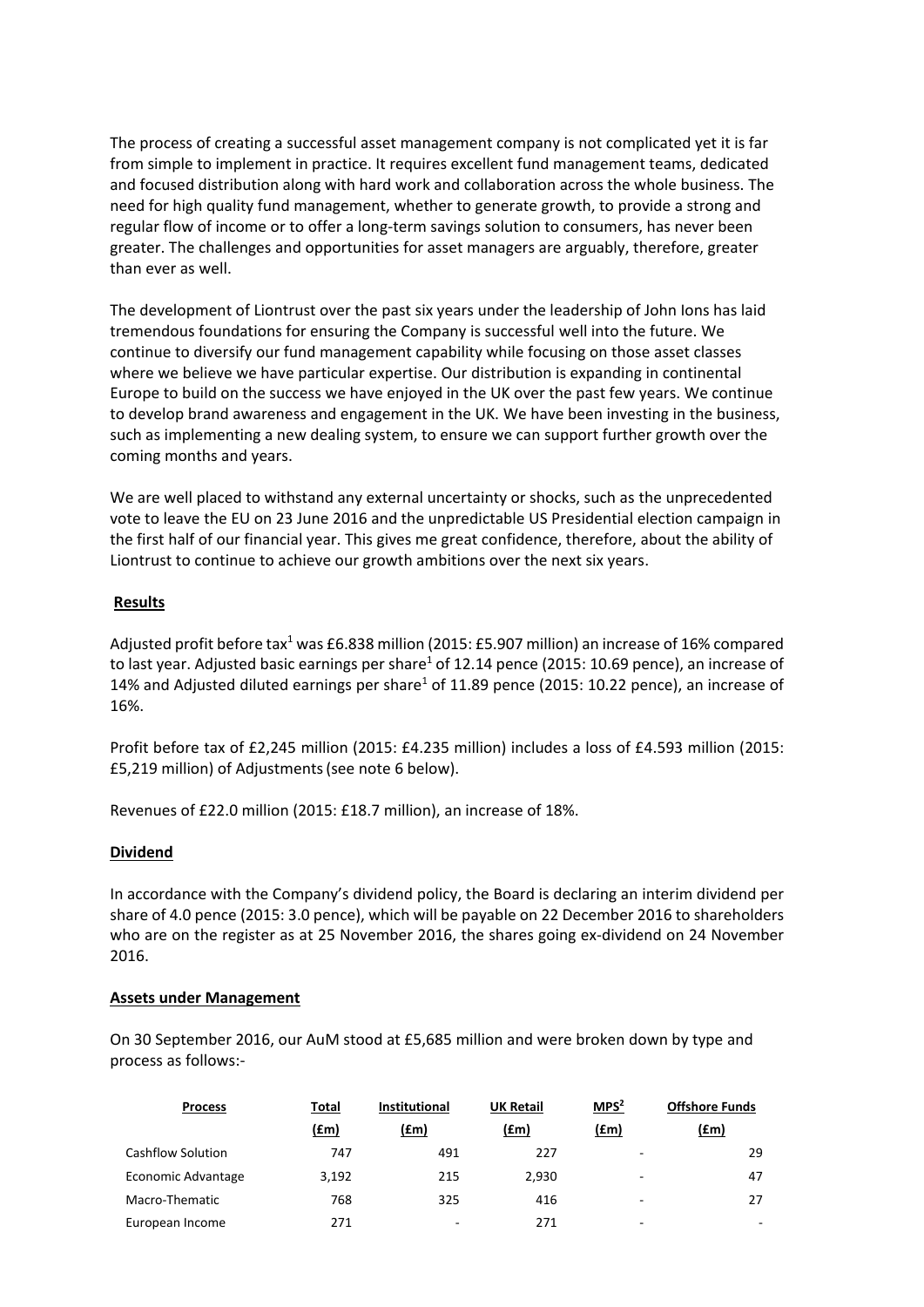The process of creating a successful asset management company is not complicated yet it is far from simple to implement in practice. It requires excellent fund management teams, dedicated and focused distribution along with hard work and collaboration across the whole business. The need for high quality fund management, whether to generate growth, to provide a strong and regular flow of income or to offer a long-term savings solution to consumers, has never been greater. The challenges and opportunities for asset managers are arguably, therefore, greater than ever as well.

The development of Liontrust over the past six years under the leadership of John Ions has laid tremendous foundations for ensuring the Company is successful well into the future. We continue to diversify our fund management capability while focusing on those asset classes where we believe we have particular expertise. Our distribution is expanding in continental Europe to build on the success we have enjoyed in the UK over the past few years. We continue to develop brand awareness and engagement in the UK. We have been investing in the business, such as implementing a new dealing system, to ensure we can support further growth over the coming months and years.

We are well placed to withstand any external uncertainty or shocks, such as the unprecedented vote to leave the EU on 23 June 2016 and the unpredictable US Presidential election campaign in the first half of our financial year. This gives me great confidence, therefore, about the ability of Liontrust to continue to achieve our growth ambitions over the next six years.

# **Results**

Adjusted profit before tax<sup>1</sup> was £6.838 million (2015: £5.907 million) an increase of 16% compared to last year. Adjusted basic earnings per share<sup>1</sup> of 12.14 pence (2015: 10.69 pence), an increase of 14% and Adjusted diluted earnings per share<sup>1</sup> of 11.89 pence (2015: 10.22 pence), an increase of 16%.

Profit before tax of £2,245 million (2015: £4.235 million) includes a loss of £4.593 million (2015: £5,219 million) of Adjustments(see note 6 below).

Revenues of £22.0 million (2015: £18.7 million), an increase of 18%.

## **Dividend**

In accordance with the Company's dividend policy, the Board is declaring an interim dividend per share of 4.0 pence (2015: 3.0 pence), which will be payable on 22 December 2016 to shareholders who are on the register as at 25 November 2016, the shares going ex-dividend on 24 November 2016.

## **Assets under Management**

On 30 September 2016, our AuM stood at £5,685 million and were broken down by type and process as follows:-

| <b>Process</b>     | Total | <b>Institutional</b> | <b>UK Retail</b> | MPS <sup>2</sup> | <b>Offshore Funds</b> |
|--------------------|-------|----------------------|------------------|------------------|-----------------------|
|                    | (fm)  | (£m)                 | (fm)             | (fm)             | (£m)                  |
| Cashflow Solution  | 747   | 491                  | 227              | ٠.               | 29                    |
| Economic Advantage | 3,192 | 215                  | 2.930            | ٠                | 47                    |
| Macro-Thematic     | 768   | 325                  | 416              | ۰                | 27                    |
| European Income    | 271   | -                    | 271              | ۰                | ۰                     |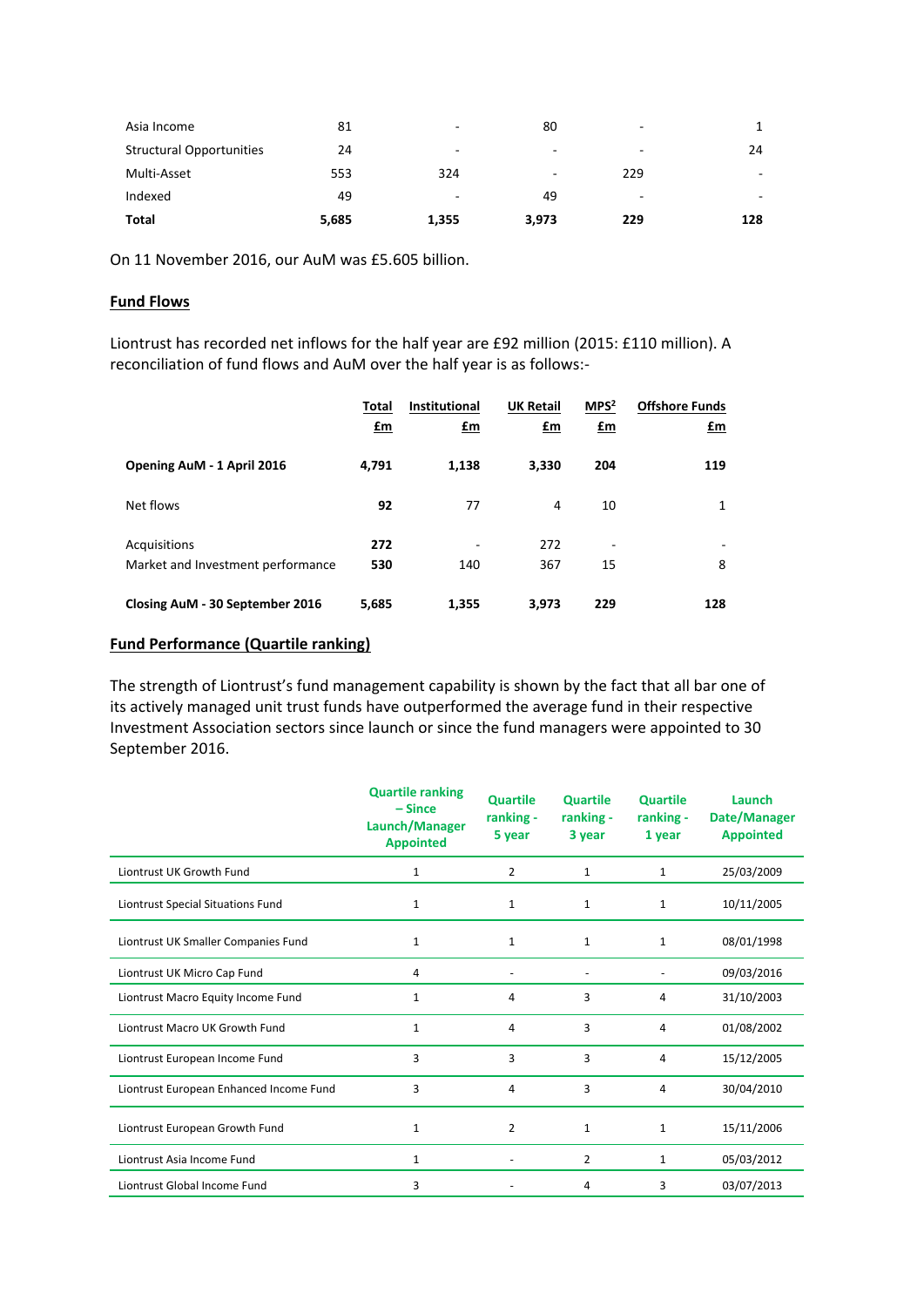| Asia Income                     | 81    | $\overline{\phantom{a}}$ | 80    |                          |                          |
|---------------------------------|-------|--------------------------|-------|--------------------------|--------------------------|
| <b>Structural Opportunities</b> | 24    | $\overline{\phantom{a}}$ | ۰     |                          | 24                       |
| Multi-Asset                     | 553   | 324                      |       | 229                      | $\overline{\phantom{a}}$ |
| Indexed                         | 49    | $\overline{\phantom{a}}$ | 49    | $\overline{\phantom{a}}$ |                          |
| Total                           | 5,685 | 1,355                    | 3,973 | 229                      | 128                      |

On 11 November 2016, our AuM was £5.605 billion.

## **Fund Flows**

Liontrust has recorded net inflows for the half year are £92 million (2015: £110 million). A reconciliation of fund flows and AuM over the half year is as follows:-

|                                   | Total | <b>Institutional</b> | <b>UK Retail</b> | MPS <sup>2</sup>         | <b>Offshore Funds</b> |
|-----------------------------------|-------|----------------------|------------------|--------------------------|-----------------------|
|                                   | $fm$  | £m                   | $fm$             | <u>£m</u>                | £m                    |
| Opening AuM - 1 April 2016        | 4,791 | 1,138                | 3,330            | 204                      | 119                   |
| Net flows                         | 92    | 77                   | 4                | 10                       | 1                     |
| Acquisitions                      | 272   |                      | 272              | $\overline{\phantom{a}}$ |                       |
| Market and Investment performance | 530   | 140                  | 367              | 15                       | 8                     |
| Closing AuM - 30 September 2016   | 5,685 | 1,355                | 3.973            | 229                      | 128                   |

# **Fund Performance (Quartile ranking)**

The strength of Liontrust's fund management capability is shown by the fact that all bar one of its actively managed unit trust funds have outperformed the average fund in their respective Investment Association sectors since launch or since the fund managers were appointed to 30 September 2016.

|                                         | <b>Quartile ranking</b><br>$-Since$<br>Launch/Manager<br><b>Appointed</b> | <b>Quartile</b><br>ranking -<br>5 year | <b>Quartile</b><br>ranking -<br>3 year | <b>Quartile</b><br>ranking -<br>1 year | Launch<br>Date/Manager<br><b>Appointed</b> |
|-----------------------------------------|---------------------------------------------------------------------------|----------------------------------------|----------------------------------------|----------------------------------------|--------------------------------------------|
| Liontrust UK Growth Fund                | $\mathbf{1}$                                                              | $\overline{2}$                         | $\mathbf{1}$                           | $\mathbf{1}$                           | 25/03/2009                                 |
| Liontrust Special Situations Fund       | 1                                                                         | $\mathbf{1}$                           | 1                                      | $\mathbf{1}$                           | 10/11/2005                                 |
| Liontrust UK Smaller Companies Fund     | $\mathbf{1}$                                                              | $\mathbf{1}$                           | $\mathbf{1}$                           | $\mathbf{1}$                           | 08/01/1998                                 |
| Liontrust UK Micro Cap Fund             | 4                                                                         |                                        |                                        |                                        | 09/03/2016                                 |
| Liontrust Macro Equity Income Fund      | $\mathbf{1}$                                                              | 4                                      | 3                                      | 4                                      | 31/10/2003                                 |
| Liontrust Macro UK Growth Fund          | $\mathbf{1}$                                                              | 4                                      | 3                                      | 4                                      | 01/08/2002                                 |
| Liontrust European Income Fund          | 3                                                                         | 3                                      | 3                                      | 4                                      | 15/12/2005                                 |
| Liontrust European Enhanced Income Fund | 3                                                                         | 4                                      | 3                                      | 4                                      | 30/04/2010                                 |
| Liontrust European Growth Fund          | 1                                                                         | $\overline{2}$                         | 1                                      | $\mathbf{1}$                           | 15/11/2006                                 |
| Liontrust Asia Income Fund              | $\mathbf{1}$                                                              |                                        | 2                                      | $\mathbf{1}$                           | 05/03/2012                                 |
| Liontrust Global Income Fund            | 3                                                                         |                                        | 4                                      | 3                                      | 03/07/2013                                 |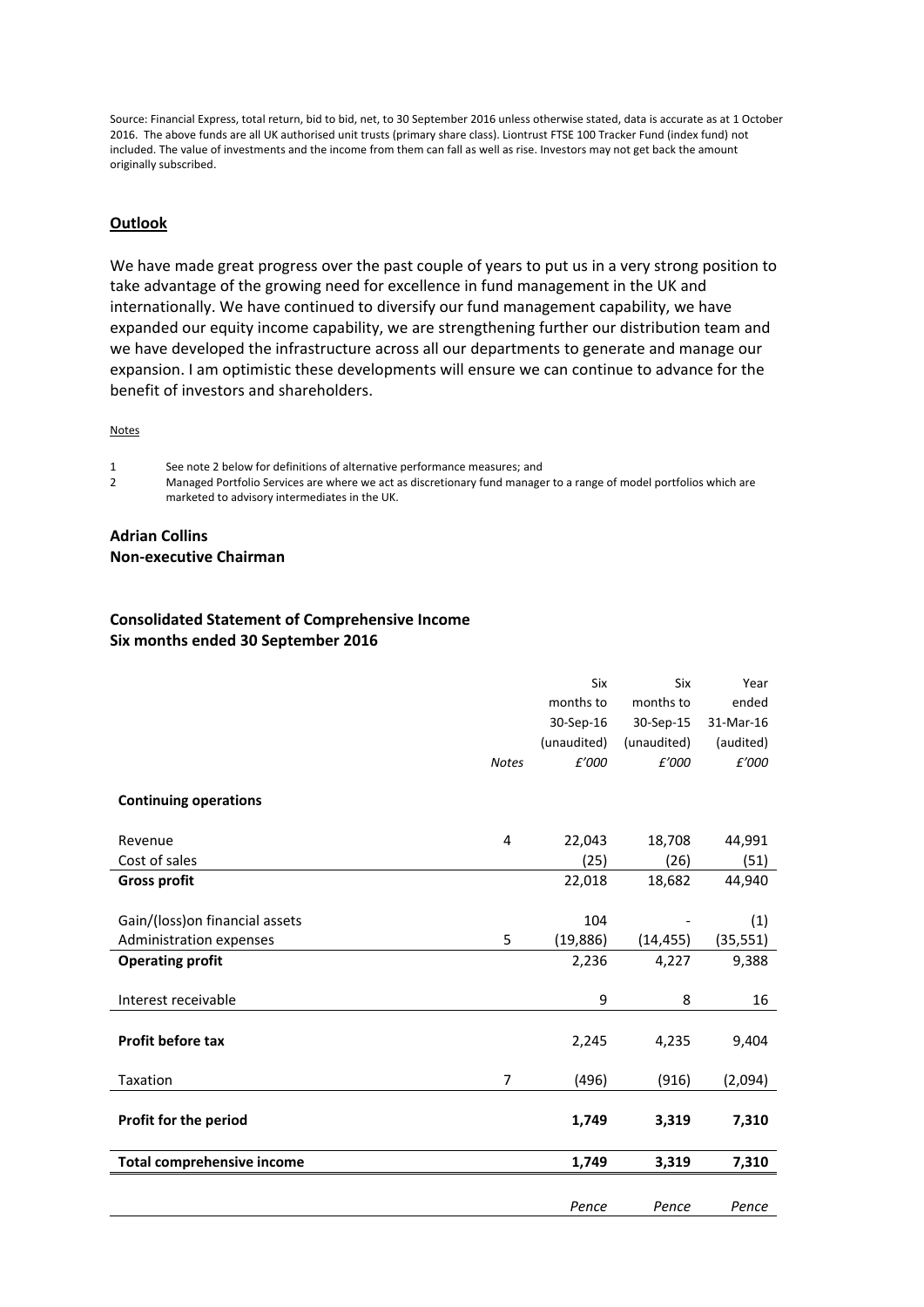Source: Financial Express, total return, bid to bid, net, to 30 September 2016 unless otherwise stated, data is accurate as at 1 October 2016. The above funds are all UK authorised unit trusts (primary share class). Liontrust FTSE 100 Tracker Fund (index fund) not included. The value of investments and the income from them can fall as well as rise. Investors may not get back the amount originally subscribed.

### **Outlook**

We have made great progress over the past couple of years to put us in a very strong position to take advantage of the growing need for excellence in fund management in the UK and internationally. We have continued to diversify our fund management capability, we have expanded our equity income capability, we are strengthening further our distribution team and we have developed the infrastructure across all our departments to generate and manage our expansion. I am optimistic these developments will ensure we can continue to advance for the benefit of investors and shareholders.

**Notes** 

1 See note 2 below for definitions of alternative performance measures; and

2 Managed Portfolio Services are where we act as discretionary fund manager to a range of model portfolios which are marketed to advisory intermediates in the UK.

#### **Adrian Collins Non-executive Chairman**

## **Consolidated Statement of Comprehensive Income Six months ended 30 September 2016**

|                                   |              | Six         | Six         | Year      |
|-----------------------------------|--------------|-------------|-------------|-----------|
|                                   |              | months to   | months to   | ended     |
|                                   |              | 30-Sep-16   | 30-Sep-15   | 31-Mar-16 |
|                                   |              | (unaudited) | (unaudited) | (audited) |
|                                   | <b>Notes</b> | £'000       | £'000       | £'000     |
| <b>Continuing operations</b>      |              |             |             |           |
| Revenue                           | 4            | 22,043      | 18,708      | 44,991    |
| Cost of sales                     |              | (25)        | (26)        | (51)      |
| <b>Gross profit</b>               |              | 22,018      | 18,682      | 44,940    |
|                                   |              |             |             |           |
| Gain/(loss) on financial assets   |              | 104         |             | (1)       |
| <b>Administration expenses</b>    | 5            | (19, 886)   | (14, 455)   | (35, 551) |
| <b>Operating profit</b>           |              | 2,236       | 4,227       | 9,388     |
|                                   |              |             |             |           |
| Interest receivable               |              | 9           | 8           | 16        |
| Profit before tax                 |              | 2,245       | 4,235       | 9,404     |
| Taxation                          | 7            | (496)       | (916)       | (2,094)   |
| Profit for the period             |              | 1,749       | 3,319       | 7,310     |
| <b>Total comprehensive income</b> |              | 1,749       | 3,319       | 7,310     |
|                                   |              |             |             |           |
|                                   |              | Pence       | Pence       | Pence     |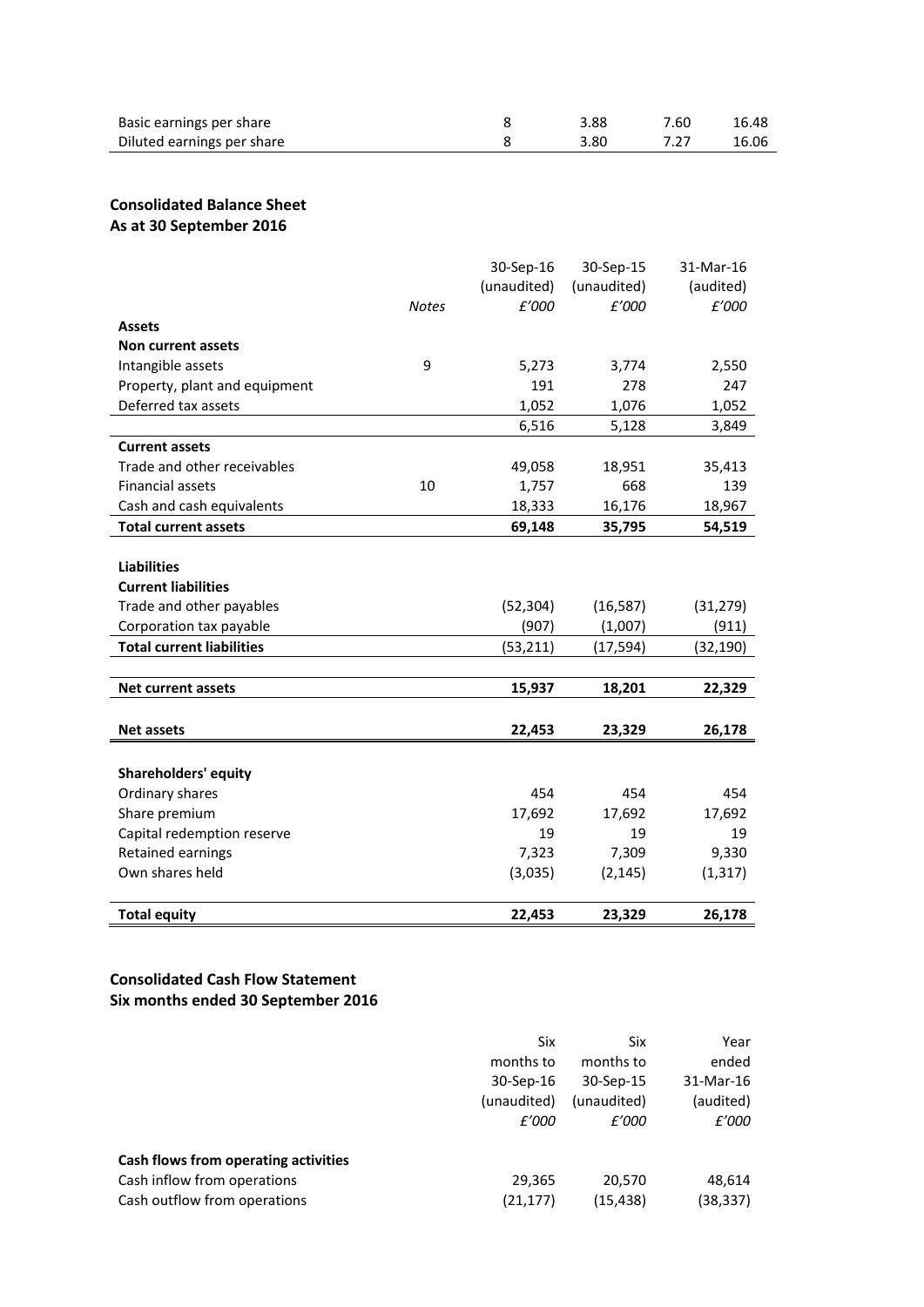| Basic earnings per share   | 3.88 | 7.60 | 16.48 |
|----------------------------|------|------|-------|
| Diluted earnings per share | 3.80 |      | 16.06 |

# **Consolidated Balance Sheet As at 30 September 2016**

|                                  |              | 30-Sep-16   | 30-Sep-15   | 31-Mar-16 |
|----------------------------------|--------------|-------------|-------------|-----------|
|                                  |              | (unaudited) | (unaudited) | (audited) |
|                                  | <b>Notes</b> | £'000       | £'000       | £'000     |
| <b>Assets</b>                    |              |             |             |           |
| <b>Non current assets</b>        |              |             |             |           |
| Intangible assets                | 9            | 5,273       | 3,774       | 2,550     |
| Property, plant and equipment    |              | 191         | 278         | 247       |
| Deferred tax assets              |              | 1,052       | 1,076       | 1,052     |
|                                  |              | 6,516       | 5,128       | 3,849     |
| <b>Current assets</b>            |              |             |             |           |
| Trade and other receivables      |              | 49,058      | 18,951      | 35,413    |
| <b>Financial assets</b>          | 10           | 1,757       | 668         | 139       |
| Cash and cash equivalents        |              | 18,333      | 16,176      | 18,967    |
| <b>Total current assets</b>      |              | 69,148      | 35,795      | 54,519    |
|                                  |              |             |             |           |
| <b>Liabilities</b>               |              |             |             |           |
| <b>Current liabilities</b>       |              |             |             |           |
| Trade and other payables         |              | (52, 304)   | (16, 587)   | (31, 279) |
| Corporation tax payable          |              | (907)       | (1,007)     | (911)     |
| <b>Total current liabilities</b> |              | (53, 211)   | (17, 594)   | (32, 190) |
|                                  |              |             |             |           |
| <b>Net current assets</b>        |              | 15,937      | 18,201      | 22,329    |
|                                  |              |             |             |           |
| <b>Net assets</b>                |              | 22,453      | 23,329      | 26,178    |
|                                  |              |             |             |           |
| <b>Shareholders' equity</b>      |              |             |             |           |
| Ordinary shares                  |              | 454         | 454         | 454       |
| Share premium                    |              | 17,692      | 17,692      | 17,692    |
| Capital redemption reserve       |              | 19          | 19          | 19        |
| Retained earnings                |              | 7,323       | 7,309       | 9,330     |
| Own shares held                  |              | (3,035)     | (2, 145)    | (1, 317)  |
|                                  |              |             |             |           |
| <b>Total equity</b>              |              | 22,453      | 23,329      | 26,178    |

# **Consolidated Cash Flow Statement Six months ended 30 September 2016**

|                                      | Six         | Six         | Year      |
|--------------------------------------|-------------|-------------|-----------|
|                                      | months to   | months to   | ended     |
|                                      | 30-Sep-16   | 30-Sep-15   | 31-Mar-16 |
|                                      | (unaudited) | (unaudited) | (audited) |
|                                      | £'000       | £'000       | £'000     |
| Cash flows from operating activities |             |             |           |
| Cash inflow from operations          | 29,365      | 20.570      | 48,614    |
| Cash outflow from operations         | (21, 177)   | (15, 438)   | (38, 337) |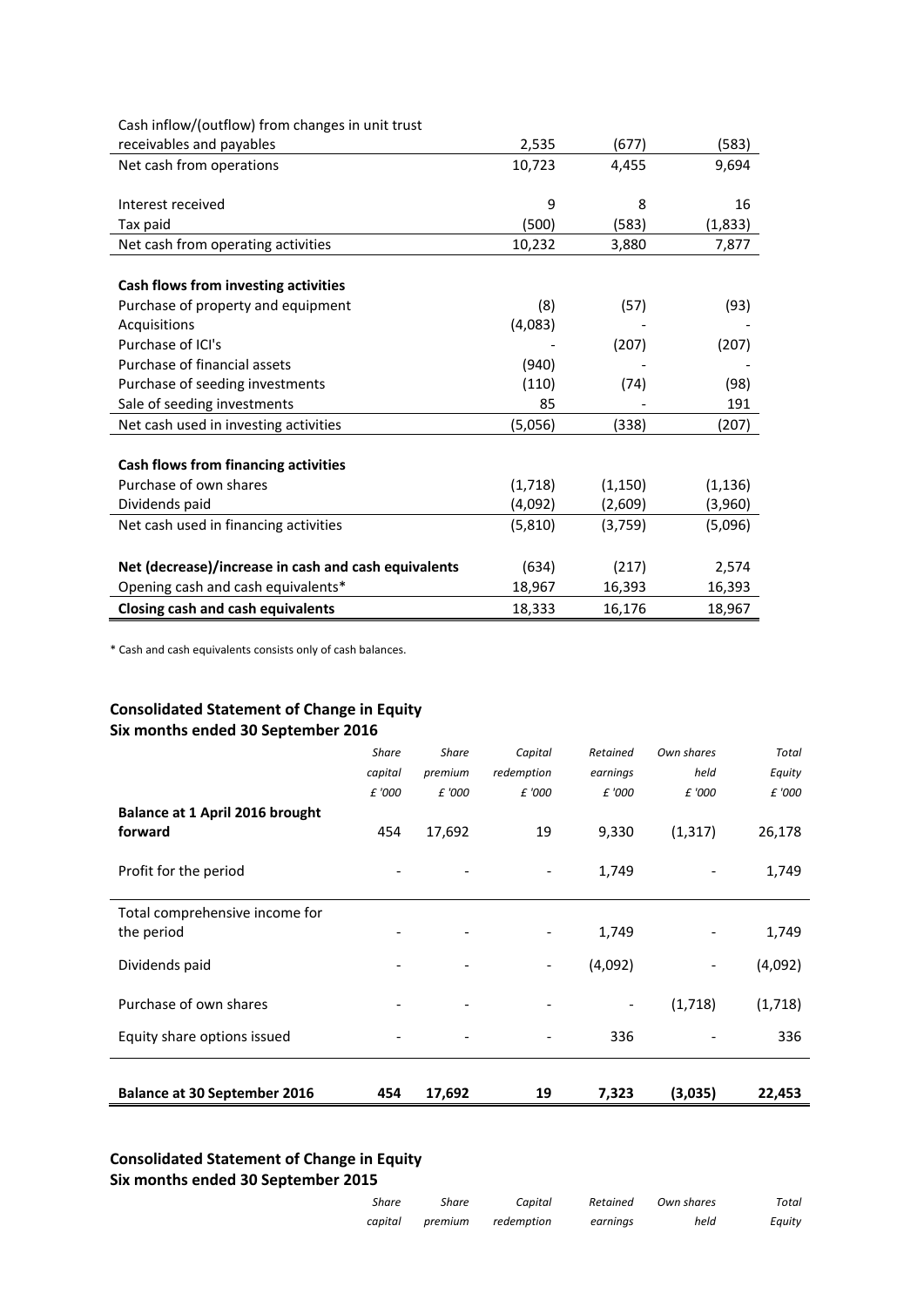| Cash inflow/(outflow) from changes in unit trust     |         |          |          |
|------------------------------------------------------|---------|----------|----------|
| receivables and payables                             | 2,535   | (677)    | (583)    |
| Net cash from operations                             | 10,723  | 4,455    | 9,694    |
|                                                      |         |          |          |
| Interest received                                    | 9       | 8        | 16       |
| Tax paid                                             | (500)   | (583)    | (1,833)  |
| Net cash from operating activities                   | 10,232  | 3,880    | 7,877    |
|                                                      |         |          |          |
| Cash flows from investing activities                 |         |          |          |
| Purchase of property and equipment                   | (8)     | (57)     | (93)     |
| Acquisitions                                         | (4,083) |          |          |
| Purchase of ICI's                                    |         | (207)    | (207)    |
| Purchase of financial assets                         | (940)   |          |          |
| Purchase of seeding investments                      | (110)   | (74)     | (98)     |
| Sale of seeding investments                          | 85      |          | 191      |
| Net cash used in investing activities                | (5,056) | (338)    | (207)    |
|                                                      |         |          |          |
| Cash flows from financing activities                 |         |          |          |
| Purchase of own shares                               | (1,718) | (1, 150) | (1, 136) |
| Dividends paid                                       | (4,092) | (2,609)  | (3,960)  |
| Net cash used in financing activities                | (5,810) | (3,759)  | (5,096)  |
|                                                      |         |          |          |
| Net (decrease)/increase in cash and cash equivalents | (634)   | (217)    | 2,574    |
| Opening cash and cash equivalents*                   | 18,967  | 16,393   | 16,393   |
| <b>Closing cash and cash equivalents</b>             | 18,333  | 16,176   | 18,967   |

\* Cash and cash equivalents consists only of cash balances.

# **Consolidated Statement of Change in Equity Six months ended 30 September 2016**

|                                     | <b>Share</b> | <b>Share</b> | Capital                  | Retained                 | Own shares               | Total   |
|-------------------------------------|--------------|--------------|--------------------------|--------------------------|--------------------------|---------|
|                                     | capital      | premium      | redemption               | earnings                 | held                     | Equity  |
|                                     | £ '000       | £ '000       | £ '000                   | £ '000                   | £ '000                   | £ '000  |
| Balance at 1 April 2016 brought     |              |              |                          |                          |                          |         |
| forward                             | 454          | 17,692       | 19                       | 9,330                    | (1, 317)                 | 26,178  |
| Profit for the period               |              |              |                          | 1,749                    |                          | 1,749   |
| Total comprehensive income for      |              |              |                          |                          |                          |         |
| the period                          |              |              | $\overline{\phantom{a}}$ | 1,749                    | -                        | 1,749   |
| Dividends paid                      |              |              | $\overline{\phantom{a}}$ | (4,092)                  | $\overline{\phantom{a}}$ | (4,092) |
| Purchase of own shares              |              |              |                          | $\overline{\phantom{a}}$ | (1,718)                  | (1,718) |
| Equity share options issued         |              |              |                          | 336                      |                          | 336     |
|                                     |              |              |                          |                          |                          |         |
| <b>Balance at 30 September 2016</b> | 454          | 17,692       | 19                       | 7,323                    | (3,035)                  | 22,453  |

# **Consolidated Statement of Change in Equity Six months ended 30 September 2015**

| Total  | Own shares | Retained | Capital    | Share   | Share   |
|--------|------------|----------|------------|---------|---------|
| Equity | held       | earnings | redemption | premium | capital |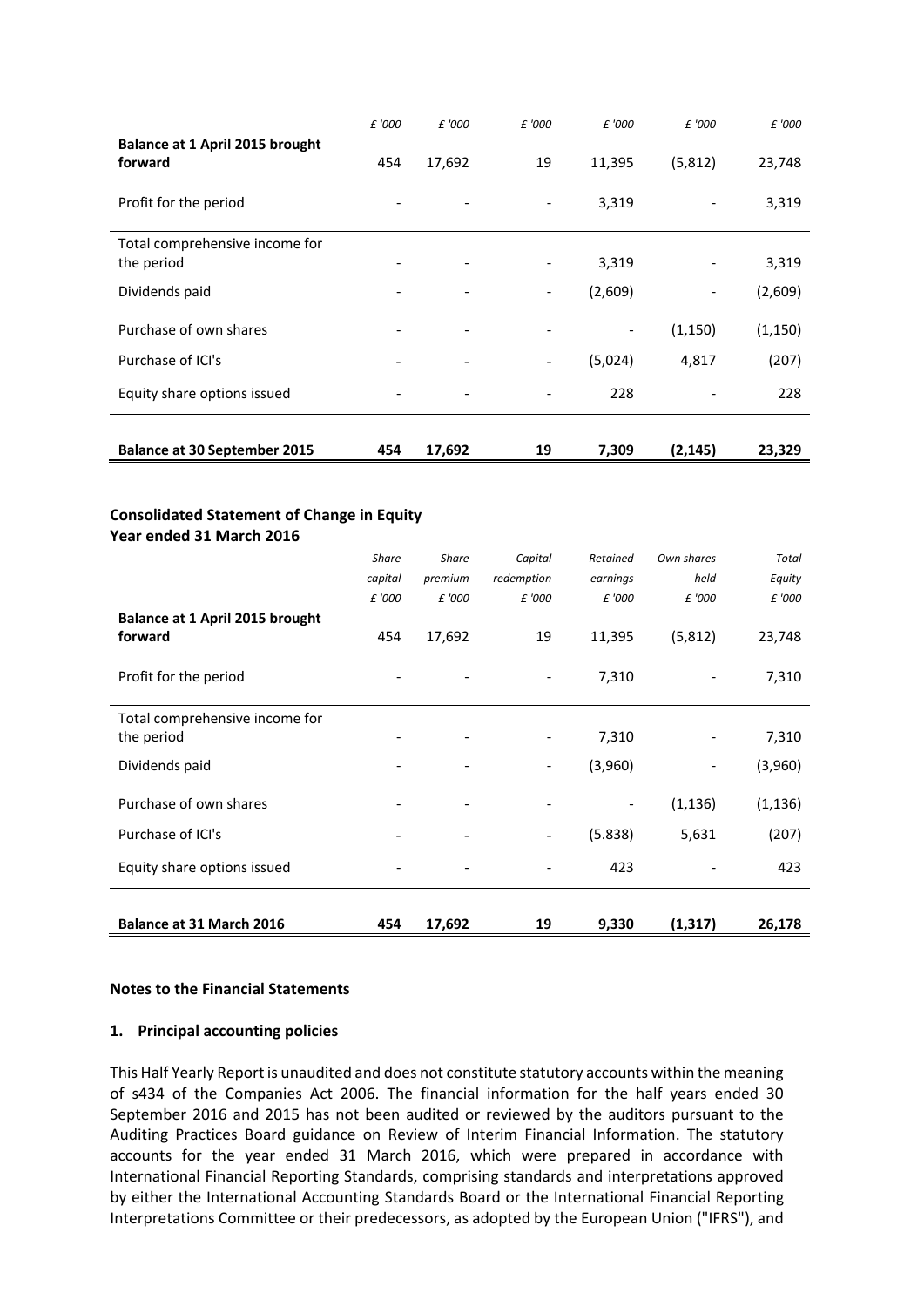|                                                                               | £ '000       | £ '000       | £ '000                   | £ '000                       | £ '000     | £ '000   |
|-------------------------------------------------------------------------------|--------------|--------------|--------------------------|------------------------------|------------|----------|
| Balance at 1 April 2015 brought<br>forward                                    | 454          | 17,692       | 19                       | 11,395                       | (5, 812)   | 23,748   |
| Profit for the period                                                         |              |              |                          | 3,319                        |            | 3,319    |
| Total comprehensive income for                                                |              |              |                          |                              |            |          |
| the period                                                                    |              |              |                          | 3,319                        |            | 3,319    |
| Dividends paid                                                                |              |              |                          | (2,609)                      |            | (2,609)  |
| Purchase of own shares                                                        |              |              | $\overline{\phantom{a}}$ | $\qquad \qquad \blacksquare$ | (1, 150)   | (1, 150) |
| Purchase of ICI's                                                             |              |              | $\overline{\phantom{a}}$ | (5,024)                      | 4,817      | (207)    |
| Equity share options issued                                                   |              |              |                          | 228                          |            | 228      |
| <b>Balance at 30 September 2015</b>                                           | 454          | 17,692       | 19                       | 7,309                        | (2, 145)   | 23,329   |
|                                                                               |              |              |                          |                              |            |          |
| <b>Consolidated Statement of Change in Equity</b><br>Year ended 31 March 2016 | <b>Share</b> | <b>Share</b> | Capital                  | Retained                     | Own shares | Total    |
|                                                                               | capital      | premium      | redemption               | earnings                     | held       | Equity   |
|                                                                               | £ '000       | £ '000       | £ '000                   | £ '000                       | £ '000     | £ '000   |
| Balance at 1 April 2015 brought                                               |              |              |                          |                              |            |          |
| forward                                                                       | 454          | 17,692       | 19                       | 11,395                       | (5, 812)   | 23,748   |
| Profit for the period                                                         |              |              |                          | 7,310                        |            | 7,310    |
| Total comprehensive income for                                                |              |              |                          |                              |            |          |
| the period                                                                    |              |              |                          | 7,310                        |            | 7,310    |
| Dividends paid                                                                |              |              |                          | (3,960)                      |            | (3,960)  |
| Purchase of own shares                                                        |              |              | $\overline{\phantom{a}}$ |                              | (1, 136)   | (1, 136) |
| Purchase of ICI's                                                             |              |              |                          | (5.838)                      | 5,631      | (207)    |
| Equity share options issued                                                   |              |              |                          | 423                          |            | 423      |
|                                                                               |              |              |                          |                              |            |          |
| Balance at 31 March 2016                                                      | 454          | 17,692       | 19                       | 9,330                        | (1, 317)   | 26,178   |

## **Notes to the Financial Statements**

## **1. Principal accounting policies**

This Half Yearly Report is unaudited and does not constitute statutory accounts within the meaning of s434 of the Companies Act 2006. The financial information for the half years ended 30 September 2016 and 2015 has not been audited or reviewed by the auditors pursuant to the Auditing Practices Board guidance on Review of Interim Financial Information. The statutory accounts for the year ended 31 March 2016, which were prepared in accordance with International Financial Reporting Standards, comprising standards and interpretations approved by either the International Accounting Standards Board or the International Financial Reporting Interpretations Committee or their predecessors, as adopted by the European Union ("IFRS"), and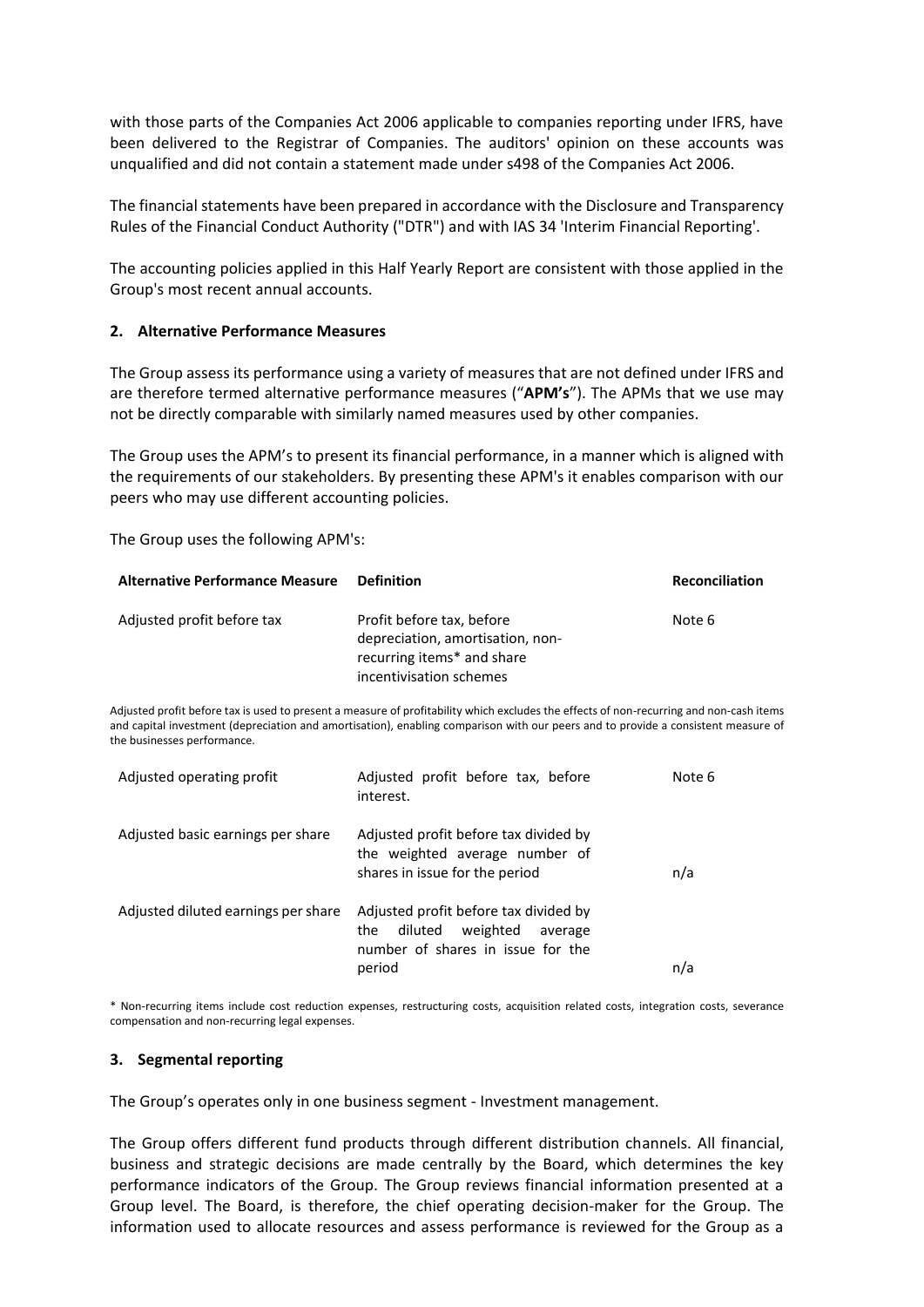with those parts of the Companies Act 2006 applicable to companies reporting under IFRS, have been delivered to the Registrar of Companies. The auditors' opinion on these accounts was unqualified and did not contain a statement made under s498 of the Companies Act 2006.

The financial statements have been prepared in accordance with the Disclosure and Transparency Rules of the Financial Conduct Authority ("DTR") and with IAS 34 'Interim Financial Reporting'.

The accounting policies applied in this Half Yearly Report are consistent with those applied in the Group's most recent annual accounts.

### **2. Alternative Performance Measures**

The Group assess its performance using a variety of measures that are not defined under IFRS and are therefore termed alternative performance measures ("**APM's**"). The APMs that we use may not be directly comparable with similarly named measures used by other companies.

The Group uses the APM's to present its financial performance, in a manner which is aligned with the requirements of our stakeholders. By presenting these APM's it enables comparison with our peers who may use different accounting policies.

The Group uses the following APM's:

| <b>Alternative Performance Measure</b> | <b>Definition</b>                                                                                                      | <b>Reconciliation</b> |
|----------------------------------------|------------------------------------------------------------------------------------------------------------------------|-----------------------|
| Adjusted profit before tax             | Profit before tax, before<br>depreciation, amortisation, non-<br>recurring items* and share<br>incentivisation schemes | Note 6                |

Adjusted profit before tax is used to present a measure of profitability which excludes the effects of non-recurring and non-cash items and capital investment (depreciation and amortisation), enabling comparison with our peers and to provide a consistent measure of the businesses performance.

| Adjusted operating profit           | Adjusted profit before tax, before<br>interest.                                                                         | Note 6 |
|-------------------------------------|-------------------------------------------------------------------------------------------------------------------------|--------|
| Adjusted basic earnings per share   | Adjusted profit before tax divided by<br>the weighted average number of<br>shares in issue for the period               | n/a    |
| Adjusted diluted earnings per share | Adjusted profit before tax divided by<br>diluted weighted average<br>the<br>number of shares in issue for the<br>period | n/a    |

\* Non-recurring items include cost reduction expenses, restructuring costs, acquisition related costs, integration costs, severance compensation and non-recurring legal expenses.

### **3. Segmental reporting**

The Group's operates only in one business segment - Investment management.

The Group offers different fund products through different distribution channels. All financial, business and strategic decisions are made centrally by the Board, which determines the key performance indicators of the Group. The Group reviews financial information presented at a Group level. The Board, is therefore, the chief operating decision-maker for the Group. The information used to allocate resources and assess performance is reviewed for the Group as a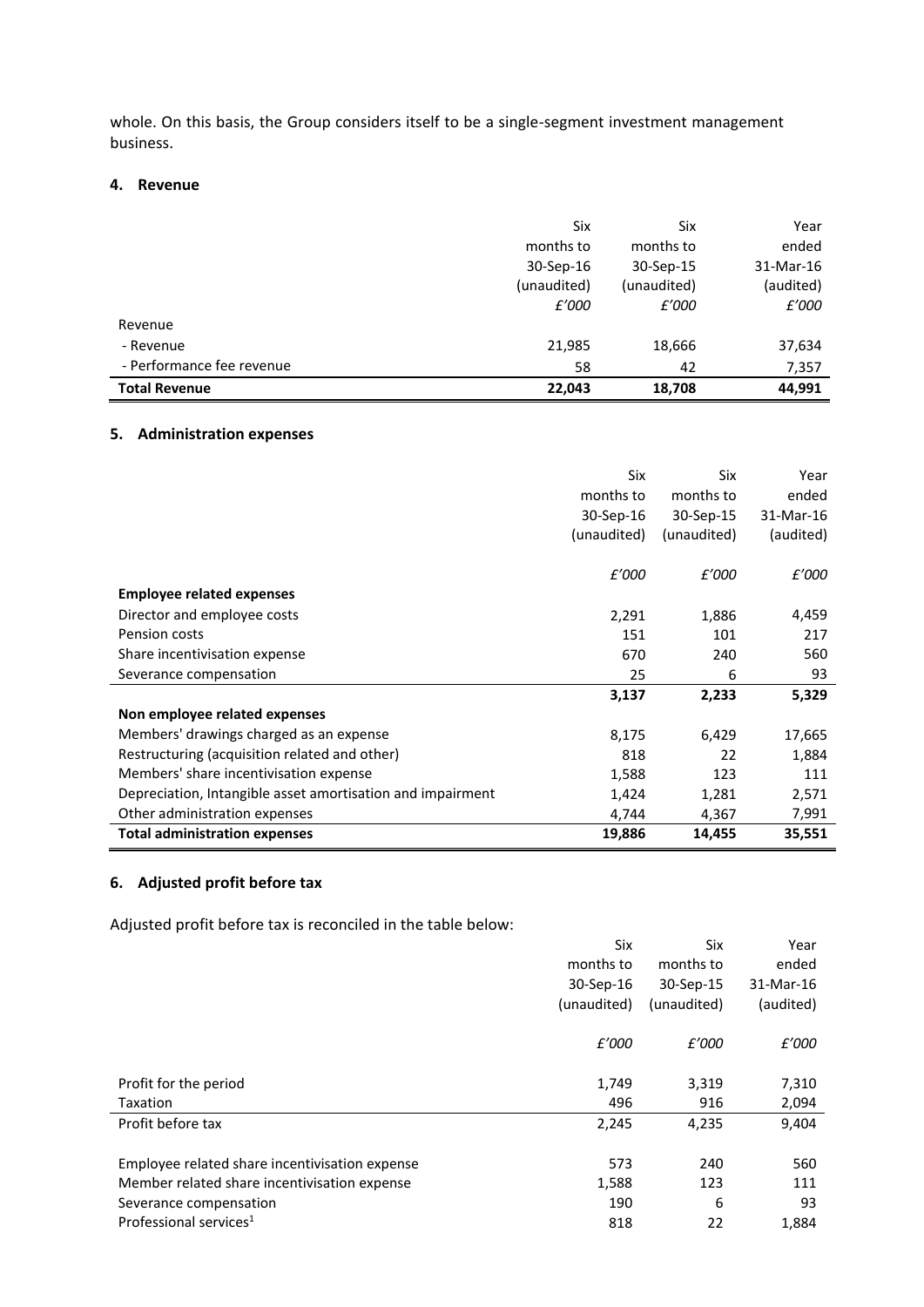whole. On this basis, the Group considers itself to be a single-segment investment management business.

### **4. Revenue**

|                           | Six         | Six         | Year      |
|---------------------------|-------------|-------------|-----------|
|                           | months to   | months to   | ended     |
|                           | 30-Sep-16   | 30-Sep-15   | 31-Mar-16 |
|                           | (unaudited) | (unaudited) | (audited) |
|                           | £'000       | £'000       | £'000     |
| Revenue                   |             |             |           |
| - Revenue                 | 21,985      | 18,666      | 37,634    |
| - Performance fee revenue | 58          | 42          | 7,357     |
| <b>Total Revenue</b>      | 22,043      | 18,708      | 44,991    |

# **5. Administration expenses**

|                                                            | Six         | <b>Six</b>  | Year      |
|------------------------------------------------------------|-------------|-------------|-----------|
|                                                            | months to   | months to   | ended     |
|                                                            | 30-Sep-16   | 30-Sep-15   | 31-Mar-16 |
|                                                            | (unaudited) | (unaudited) | (audited) |
|                                                            |             |             |           |
|                                                            | £'000       | £'000       | £'000     |
| <b>Employee related expenses</b>                           |             |             |           |
| Director and employee costs                                | 2,291       | 1,886       | 4,459     |
| Pension costs                                              | 151         | 101         | 217       |
| Share incentivisation expense                              | 670         | 240         | 560       |
| Severance compensation                                     | 25          | 6           | 93        |
|                                                            | 3,137       | 2,233       | 5,329     |
| Non employee related expenses                              |             |             |           |
| Members' drawings charged as an expense                    | 8,175       | 6,429       | 17,665    |
| Restructuring (acquisition related and other)              | 818         | 22          | 1,884     |
| Members' share incentivisation expense                     | 1,588       | 123         | 111       |
| Depreciation, Intangible asset amortisation and impairment | 1,424       | 1,281       | 2,571     |
| Other administration expenses                              | 4,744       | 4,367       | 7,991     |
| <b>Total administration expenses</b>                       | 19,886      | 14,455      | 35,551    |

# **6. Adjusted profit before tax**

Adjusted profit before tax is reconciled in the table below:

|                                                | Six         | Six         | Year      |
|------------------------------------------------|-------------|-------------|-----------|
|                                                | months to   | months to   | ended     |
|                                                | 30-Sep-16   | 30-Sep-15   | 31-Mar-16 |
|                                                | (unaudited) | (unaudited) | (audited) |
|                                                | £'000       | £'000       | £'000     |
| Profit for the period                          | 1,749       | 3,319       | 7,310     |
| Taxation                                       | 496         | 916         | 2,094     |
| Profit before tax                              | 2,245       | 4,235       | 9,404     |
| Employee related share incentivisation expense | 573         | 240         | 560       |
| Member related share incentivisation expense   | 1,588       | 123         | 111       |
| Severance compensation                         | 190         | 6           | 93        |
| Professional services <sup>1</sup>             | 818         | 22          | 1,884     |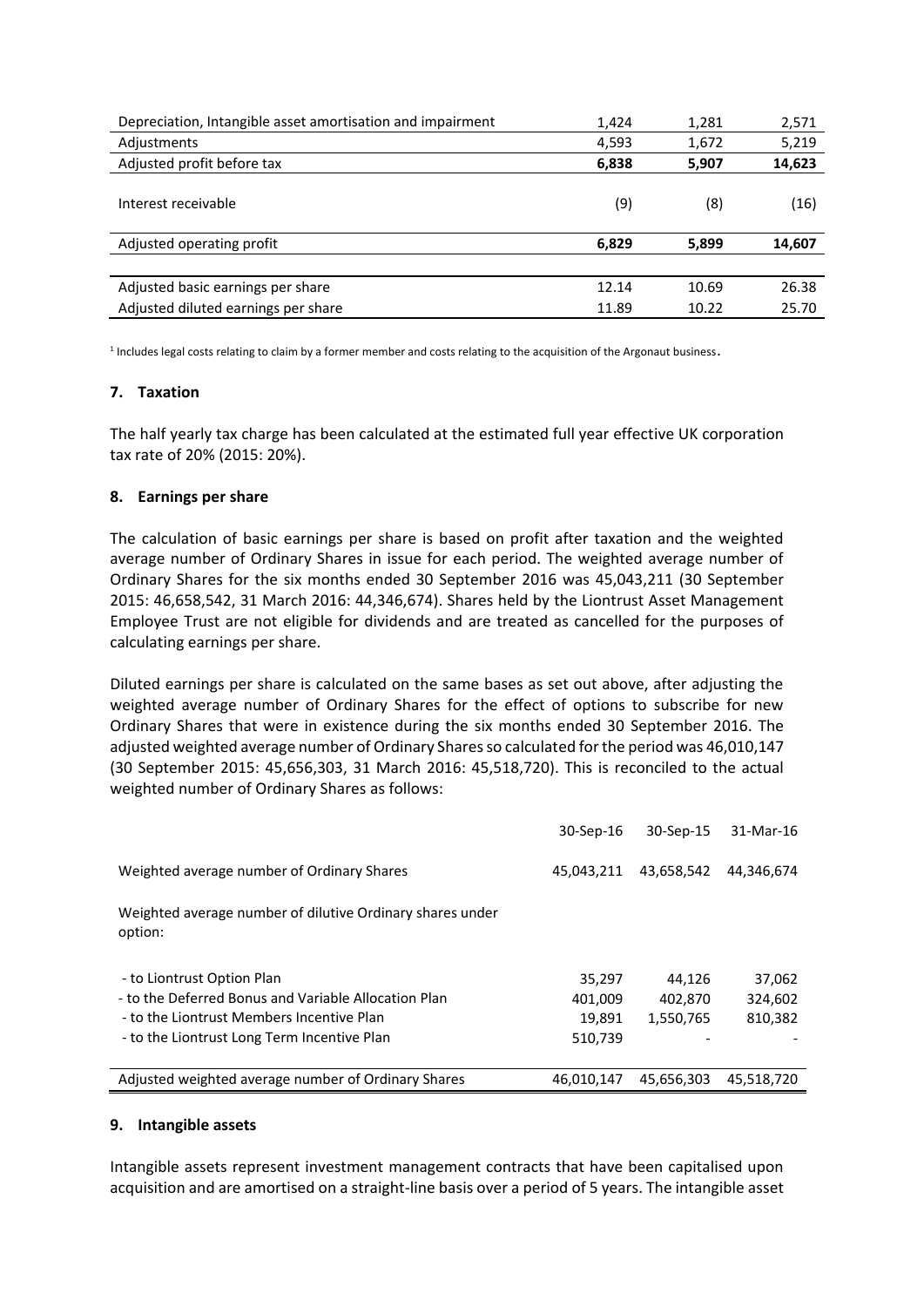| Depreciation, Intangible asset amortisation and impairment | 1,424 | 1,281 | 2,571  |
|------------------------------------------------------------|-------|-------|--------|
| Adjustments                                                | 4,593 | 1,672 | 5,219  |
| Adjusted profit before tax                                 | 6,838 | 5,907 | 14,623 |
| Interest receivable                                        | (9)   | (8)   | (16)   |
| Adjusted operating profit                                  | 6,829 | 5,899 | 14,607 |
|                                                            |       |       |        |
| Adjusted basic earnings per share                          | 12.14 | 10.69 | 26.38  |
| Adjusted diluted earnings per share                        | 11.89 | 10.22 | 25.70  |

 $^1$  Includes legal costs relating to claim by a former member and costs relating to the acquisition of the Argonaut business.

## **7. Taxation**

The half yearly tax charge has been calculated at the estimated full year effective UK corporation tax rate of 20% (2015: 20%).

### **8. Earnings per share**

The calculation of basic earnings per share is based on profit after taxation and the weighted average number of Ordinary Shares in issue for each period. The weighted average number of Ordinary Shares for the six months ended 30 September 2016 was 45,043,211 (30 September 2015: 46,658,542, 31 March 2016: 44,346,674). Shares held by the Liontrust Asset Management Employee Trust are not eligible for dividends and are treated as cancelled for the purposes of calculating earnings per share.

Diluted earnings per share is calculated on the same bases as set out above, after adjusting the weighted average number of Ordinary Shares for the effect of options to subscribe for new Ordinary Shares that were in existence during the six months ended 30 September 2016. The adjusted weighted average number of Ordinary Shares so calculated for the period was 46,010,147 (30 September 2015: 45,656,303, 31 March 2016: 45,518,720). This is reconciled to the actual weighted number of Ordinary Shares as follows:

|                                                                      | 30-Sep-16  | 30-Sep-15  | 31-Mar-16  |
|----------------------------------------------------------------------|------------|------------|------------|
| Weighted average number of Ordinary Shares                           | 45,043,211 | 43,658,542 | 44,346,674 |
| Weighted average number of dilutive Ordinary shares under<br>option: |            |            |            |
| - to Liontrust Option Plan                                           | 35,297     | 44.126     | 37,062     |
| - to the Deferred Bonus and Variable Allocation Plan                 | 401,009    | 402,870    | 324,602    |
| - to the Liontrust Members Incentive Plan                            | 19.891     | 1,550,765  | 810.382    |
| - to the Liontrust Long Term Incentive Plan                          | 510,739    |            |            |
| Adjusted weighted average number of Ordinary Shares                  | 46.010.147 | 45.656.303 | 45,518,720 |

### **9. Intangible assets**

Intangible assets represent investment management contracts that have been capitalised upon acquisition and are amortised on a straight-line basis over a period of 5 years. The intangible asset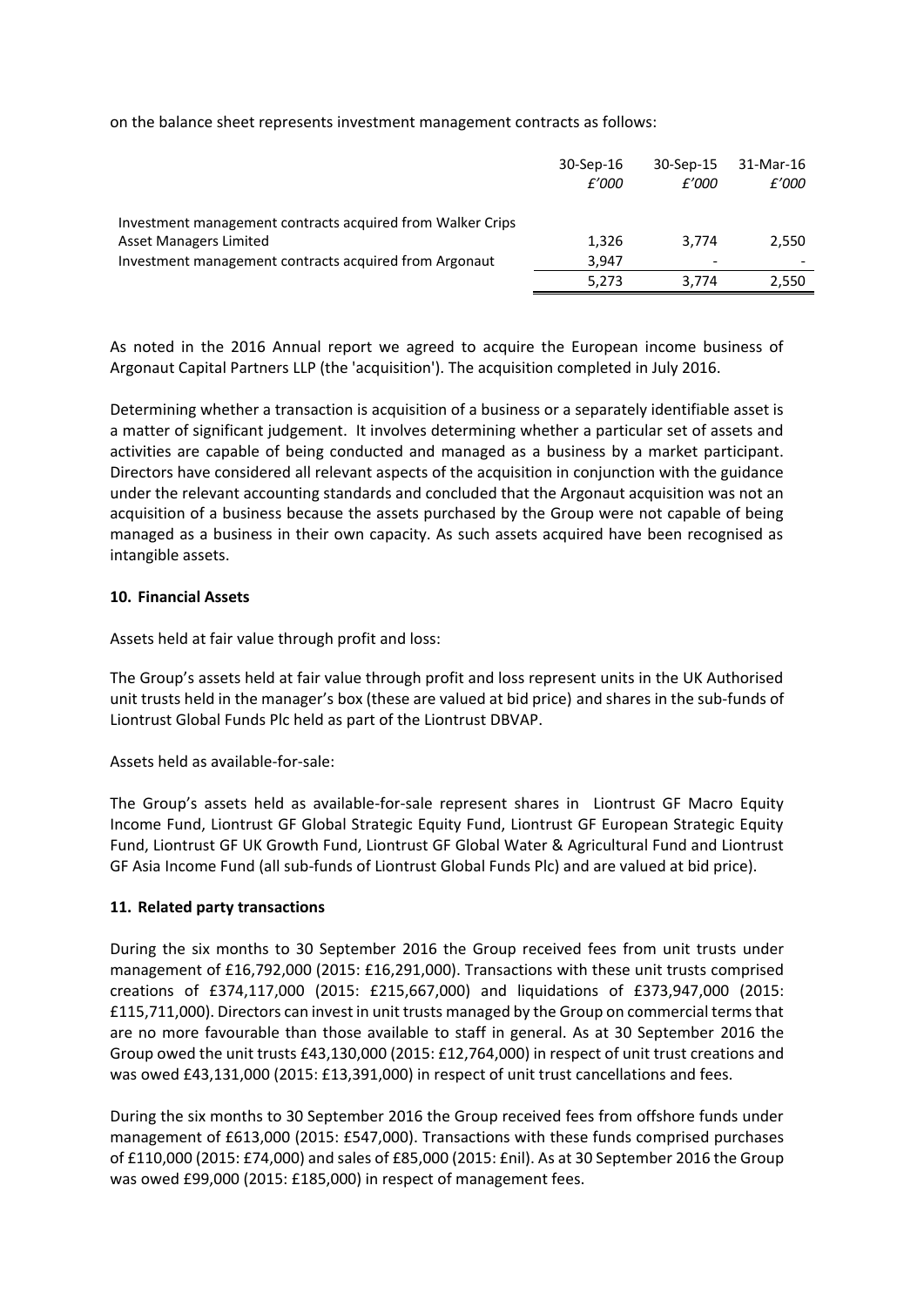on the balance sheet represents investment management contracts as follows:

|                                                            | 30-Sep-16<br>£'000 | 30-Sep-15<br>£'000 | 31-Mar-16<br>£'000 |
|------------------------------------------------------------|--------------------|--------------------|--------------------|
| Investment management contracts acquired from Walker Crips |                    |                    |                    |
| <b>Asset Managers Limited</b>                              | 1,326              | 3.774              | 2.550              |
| Investment management contracts acquired from Argonaut     | 3.947              | -                  |                    |
|                                                            | 5.273              | 3.774              | 2,550              |

As noted in the 2016 Annual report we agreed to acquire the European income business of Argonaut Capital Partners LLP (the 'acquisition'). The acquisition completed in July 2016.

Determining whether a transaction is acquisition of a business or a separately identifiable asset is a matter of significant judgement. It involves determining whether a particular set of assets and activities are capable of being conducted and managed as a business by a market participant. Directors have considered all relevant aspects of the acquisition in conjunction with the guidance under the relevant accounting standards and concluded that the Argonaut acquisition was not an acquisition of a business because the assets purchased by the Group were not capable of being managed as a business in their own capacity. As such assets acquired have been recognised as intangible assets.

### **10. Financial Assets**

Assets held at fair value through profit and loss:

The Group's assets held at fair value through profit and loss represent units in the UK Authorised unit trusts held in the manager's box (these are valued at bid price) and shares in the sub-funds of Liontrust Global Funds Plc held as part of the Liontrust DBVAP.

Assets held as available-for-sale:

The Group's assets held as available-for-sale represent shares in Liontrust GF Macro Equity Income Fund, Liontrust GF Global Strategic Equity Fund, Liontrust GF European Strategic Equity Fund, Liontrust GF UK Growth Fund, Liontrust GF Global Water & Agricultural Fund and Liontrust GF Asia Income Fund (all sub-funds of Liontrust Global Funds Plc) and are valued at bid price).

## **11. Related party transactions**

During the six months to 30 September 2016 the Group received fees from unit trusts under management of £16,792,000 (2015: £16,291,000). Transactions with these unit trusts comprised creations of £374,117,000 (2015: £215,667,000) and liquidations of £373,947,000 (2015: £115,711,000). Directors can invest in unit trusts managed by the Group on commercial terms that are no more favourable than those available to staff in general. As at 30 September 2016 the Group owed the unit trusts £43,130,000 (2015: £12,764,000) in respect of unit trust creations and was owed £43,131,000 (2015: £13,391,000) in respect of unit trust cancellations and fees.

During the six months to 30 September 2016 the Group received fees from offshore funds under management of £613,000 (2015: £547,000). Transactions with these funds comprised purchases of £110,000 (2015: £74,000) and sales of £85,000 (2015: £nil). As at 30 September 2016 the Group was owed £99,000 (2015: £185,000) in respect of management fees.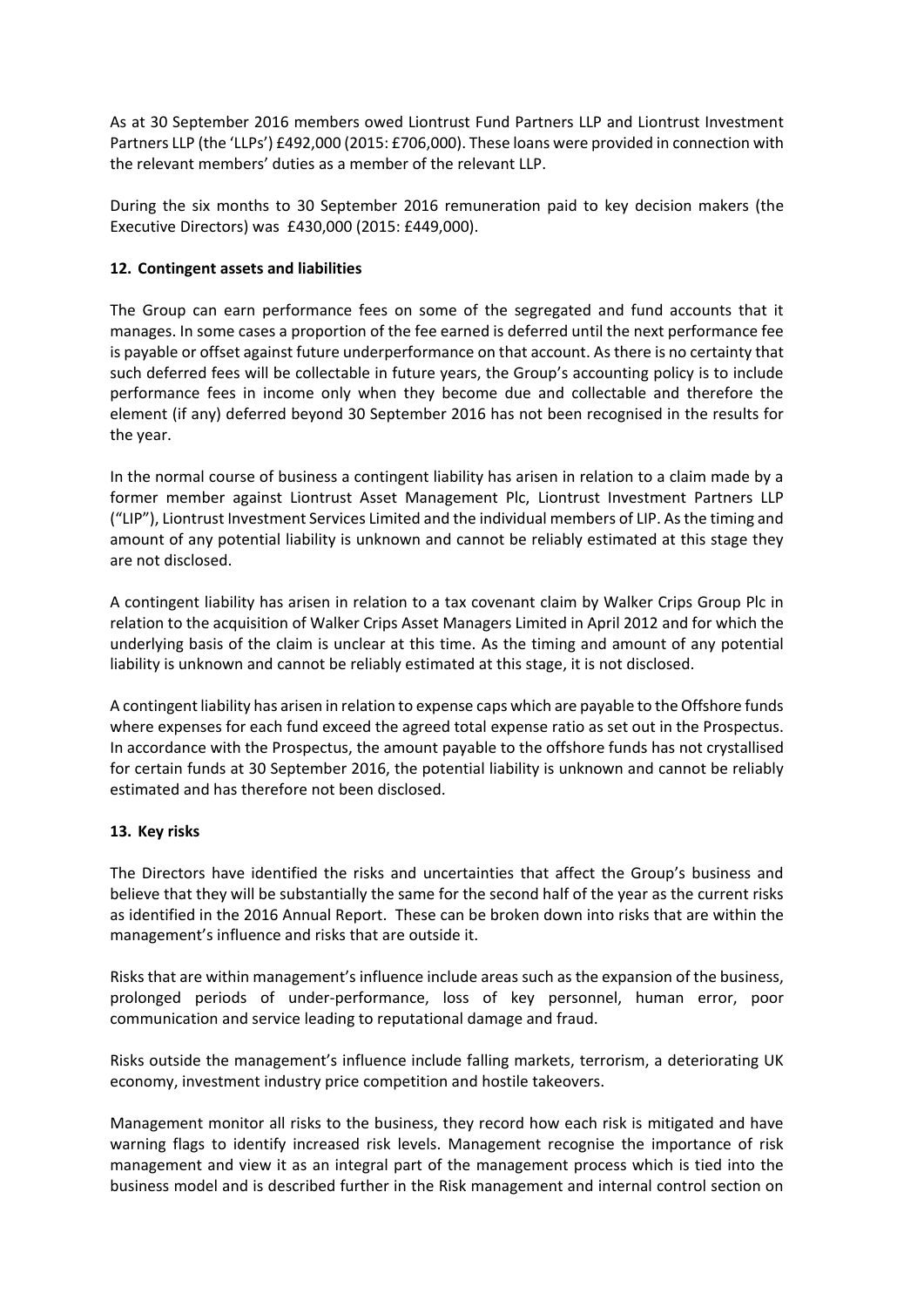As at 30 September 2016 members owed Liontrust Fund Partners LLP and Liontrust Investment Partners LLP (the 'LLPs') £492,000 (2015: £706,000). These loans were provided in connection with the relevant members' duties as a member of the relevant LLP.

During the six months to 30 September 2016 remuneration paid to key decision makers (the Executive Directors) was £430,000 (2015: £449,000).

# **12. Contingent assets and liabilities**

The Group can earn performance fees on some of the segregated and fund accounts that it manages. In some cases a proportion of the fee earned is deferred until the next performance fee is payable or offset against future underperformance on that account. As there is no certainty that such deferred fees will be collectable in future years, the Group's accounting policy is to include performance fees in income only when they become due and collectable and therefore the element (if any) deferred beyond 30 September 2016 has not been recognised in the results for the year.

In the normal course of business a contingent liability has arisen in relation to a claim made by a former member against Liontrust Asset Management Plc, Liontrust Investment Partners LLP ("LIP"), Liontrust Investment Services Limited and the individual members of LIP. As the timing and amount of any potential liability is unknown and cannot be reliably estimated at this stage they are not disclosed.

A contingent liability has arisen in relation to a tax covenant claim by Walker Crips Group Plc in relation to the acquisition of Walker Crips Asset Managers Limited in April 2012 and for which the underlying basis of the claim is unclear at this time. As the timing and amount of any potential liability is unknown and cannot be reliably estimated at this stage, it is not disclosed.

A contingent liability has arisen in relation to expense caps which are payable to the Offshore funds where expenses for each fund exceed the agreed total expense ratio as set out in the Prospectus. In accordance with the Prospectus, the amount payable to the offshore funds has not crystallised for certain funds at 30 September 2016, the potential liability is unknown and cannot be reliably estimated and has therefore not been disclosed.

# **13. Key risks**

The Directors have identified the risks and uncertainties that affect the Group's business and believe that they will be substantially the same for the second half of the year as the current risks as identified in the 2016 Annual Report. These can be broken down into risks that are within the management's influence and risks that are outside it.

Risks that are within management's influence include areas such as the expansion of the business, prolonged periods of under-performance, loss of key personnel, human error, poor communication and service leading to reputational damage and fraud.

Risks outside the management's influence include falling markets, terrorism, a deteriorating UK economy, investment industry price competition and hostile takeovers.

Management monitor all risks to the business, they record how each risk is mitigated and have warning flags to identify increased risk levels. Management recognise the importance of risk management and view it as an integral part of the management process which is tied into the business model and is described further in the Risk management and internal control section on